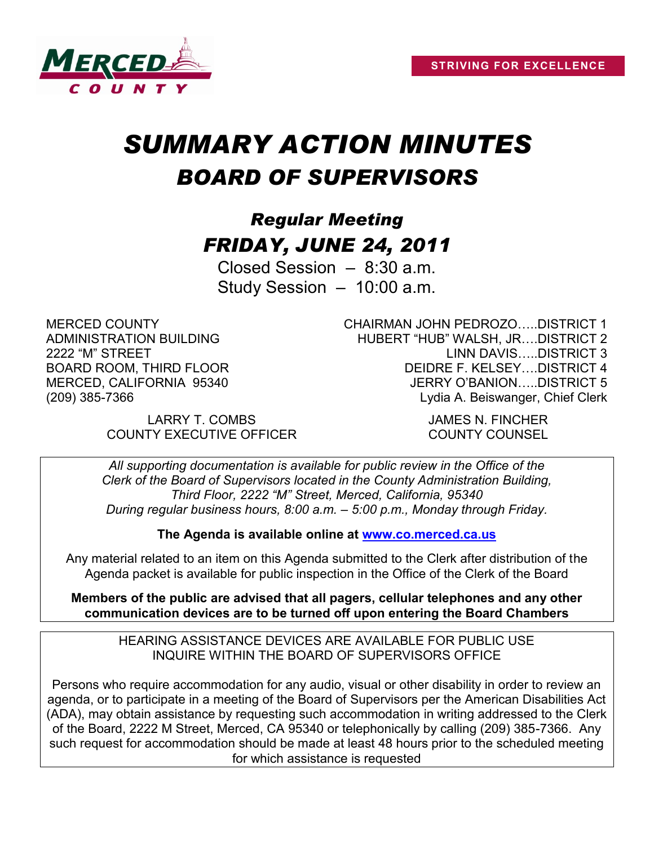

# *SUMMARY ACTION MINUTES BOARD OF SUPERVISORS*

## *Regular Meeting FRIDAY, JUNE 24, 2011*

Closed Session – 8:30 a.m. Study Session – 10:00 a.m.

MERCED COUNTY ADMINISTRATION BUILDING 2222 "M" STREET BOARD ROOM, THIRD FLOOR MERCED, CALIFORNIA 95340 (209) 385-7366

> LARRY T. COMBS JAMES N. FINCHER COUNTY EXECUTIVE OFFICER COUNTY COUNSEL

CHAIRMAN JOHN PEDROZO…..DISTRICT 1 HUBERT "HUB" WALSH, JR….DISTRICT 2 LINN DAVIS…..DISTRICT 3 DEIDRE F. KELSEY….DISTRICT 4 JERRY O'BANION…..DISTRICT 5 Lydia A. Beiswanger, Chief Clerk

*All supporting documentation is available for public review in the Office of the Clerk of the Board of Supervisors located in the County Administration Building, Third Floor, 2222 "M" Street, Merced, California, 95340 During regular business hours, 8:00 a.m. – 5:00 p.m., Monday through Friday.*

**The Agenda is available online at [www.co.merced.ca.us](http://www.co.merced.ca.us/)**

Any material related to an item on this Agenda submitted to the Clerk after distribution of the Agenda packet is available for public inspection in the Office of the Clerk of the Board

**Members of the public are advised that all pagers, cellular telephones and any other communication devices are to be turned off upon entering the Board Chambers**

HEARING ASSISTANCE DEVICES ARE AVAILABLE FOR PUBLIC USE INQUIRE WITHIN THE BOARD OF SUPERVISORS OFFICE

Persons who require accommodation for any audio, visual or other disability in order to review an agenda, or to participate in a meeting of the Board of Supervisors per the American Disabilities Act (ADA), may obtain assistance by requesting such accommodation in writing addressed to the Clerk of the Board, 2222 M Street, Merced, CA 95340 or telephonically by calling (209) 385-7366. Any such request for accommodation should be made at least 48 hours prior to the scheduled meeting for which assistance is requested